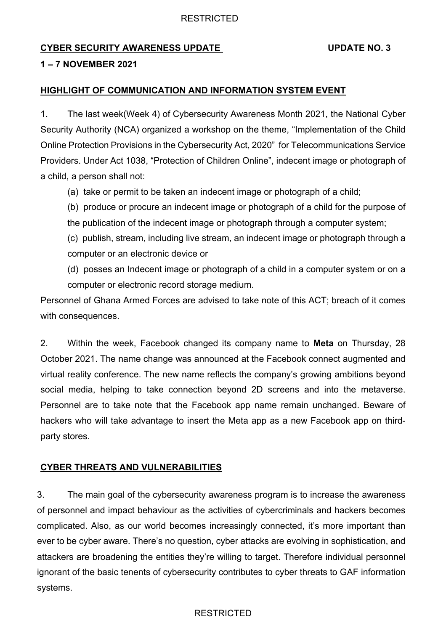## RESTRICTED

# **CYBER SECURITY AWARENESS UPDATE UPDATE NO. 3**

## **1 – 7 NOVEMBER 2021**

### **HIGHLIGHT OF COMMUNICATION AND INFORMATION SYSTEM EVENT**

1. The last week(Week 4) of Cybersecurity Awareness Month 2021, the National Cyber Security Authority (NCA) organized a workshop on the theme, "Implementation of the Child Online Protection Provisions in the Cybersecurity Act, 2020" for Telecommunications Service Providers. Under Act 1038, "Protection of Children Online", indecent image or photograph of a child, a person shall not:

(a) take or permit to be taken an indecent image or photograph of a child;

(b) produce or procure an indecent image or photograph of a child for the purpose of the publication of the indecent image or photograph through a computer system;

(c) publish, stream, including live stream, an indecent image or photograph through a computer or an electronic device or

(d) posses an Indecent image or photograph of a child in a computer system or on a computer or electronic record storage medium.

Personnel of Ghana Armed Forces are advised to take note of this ACT; breach of it comes with consequences.

2. Within the week, Facebook changed its company name to **Meta** on Thursday, 28 October 2021. The name change was announced at the Facebook connect augmented and virtual reality conference. The new name reflects the company's growing ambitions beyond social media, helping to take connection beyond 2D screens and into the metaverse. Personnel are to take note that the Facebook app name remain unchanged. Beware of hackers who will take advantage to insert the Meta app as a new Facebook app on thirdparty stores.

## **CYBER THREATS AND VULNERABILITIES**

3. The main goal of the cybersecurity awareness program is to increase the awareness of personnel and impact behaviour as the activities of cybercriminals and hackers becomes complicated. Also, as our world becomes increasingly connected, it's more important than ever to be cyber aware. There's no question, cyber attacks are evolving in sophistication, and attackers are broadening the entities they're willing to target. Therefore individual personnel ignorant of the basic tenents of cybersecurity contributes to cyber threats to GAF information systems.

## **RESTRICTED**